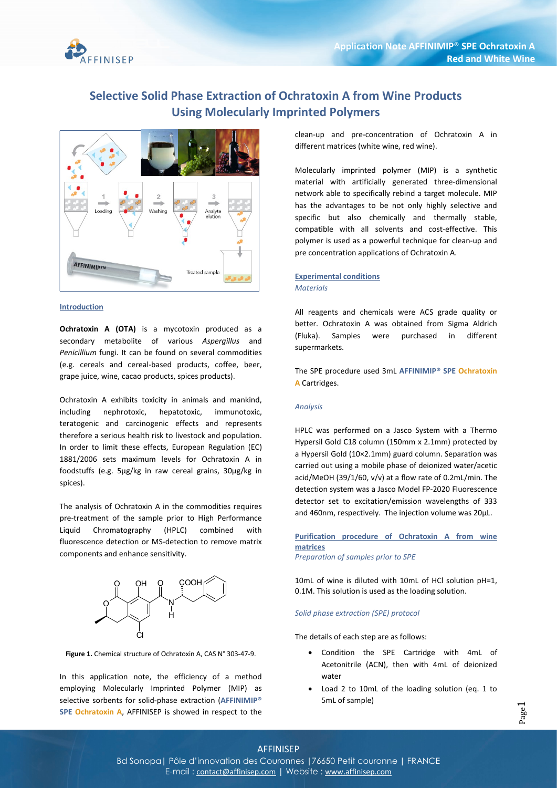

# Selective Solid Phase Extraction of Ochratoxin A from Wine Products Using Molecularly Imprinted Polymers



# Introduction

Ochratoxin A (OTA) is a mycotoxin produced as a secondary metabolite of various Aspergillus and Penicillium fungi. It can be found on several commodities (e.g. cereals and cereal-based products, coffee, beer, grape juice, wine, cacao products, spices products).

Ochratoxin A exhibits toxicity in animals and mankind, including nephrotoxic, hepatotoxic, immunotoxic, teratogenic and carcinogenic effects and represents therefore a serious health risk to livestock and population. In order to limit these effects, European Regulation (EC) 1881/2006 sets maximum levels for Ochratoxin A in foodstuffs (e.g. 5μg/kg in raw cereal grains, 30μg/kg in spices).

The analysis of Ochratoxin A in the commodities requires pre-treatment of the sample prior to High Performance Liquid Chromatography (HPLC) combined with fluorescence detection or MS-detection to remove matrix components and enhance sensitivity.



Figure 1. Chemical structure of Ochratoxin A, CAS N° 303-47-9.

In this application note, the efficiency of a method employing Molecularly Imprinted Polymer (MIP) as selective sorbents for solid-phase extraction (AFFINIMIP® SPE Ochratoxin A, AFFINISEP is showed in respect to the

clean-up and pre-concentration of Ochratoxin A in different matrices (white wine, red wine).

Molecularly imprinted polymer (MIP) is a synthetic material with artificially generated three-dimensional network able to specifically rebind a target molecule. MIP has the advantages to be not only highly selective and specific but also chemically and thermally stable, compatible with all solvents and cost-effective. This polymer is used as a powerful technique for clean-up and pre concentration applications of Ochratoxin A.

# Experimental conditions **Materials**

All reagents and chemicals were ACS grade quality or better. Ochratoxin A was obtained from Sigma Aldrich (Fluka). Samples were purchased in different supermarkets.

The SPE procedure used 3mL AFFINIMIP® SPE Ochratoxin A Cartridges.

#### Analysis

HPLC was performed on a Jasco System with a Thermo Hypersil Gold C18 column (150mm x 2.1mm) protected by a Hypersil Gold (10×2.1mm) guard column. Separation was carried out using a mobile phase of deionized water/acetic acid/MeOH (39/1/60, v/v) at a flow rate of 0.2mL/min. The detection system was a Jasco Model FP-2020 Fluorescence detector set to excitation/emission wavelengths of 333 and 460nm, respectively. The injection volume was 20µL.

Purification procedure of Ochratoxin A from wine matrices Preparation of samples prior to SPE

10mL of wine is diluted with 10mL of HCl solution pH=1, 0.1M. This solution is used as the loading solution.

#### Solid phase extraction (SPE) protocol

The details of each step are as follows:

- Condition the SPE Cartridge with 4mL of Acetonitrile (ACN), then with 4mL of deionized water
- Load 2 to 10mL of the loading solution (eq. 1 to 5mL of sample)